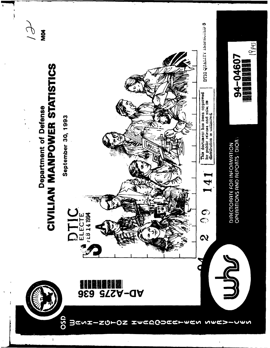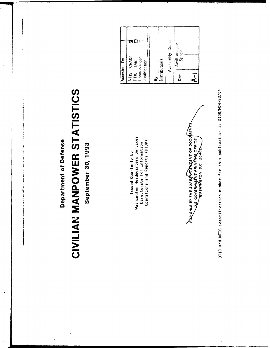Department of Defense

 $\frac{1}{2}$ 

 $\bar{\rm i}$ 

## CIVILIAN MANPOWER STATISTICS

September 30, 1993

Washington Headquarters Services Operations and Reports (DIOR) Directorate for Information Issued Quarterly by

|                               | Accesion For                 |             |
|-------------------------------|------------------------------|-------------|
| Justification<br>DTIC<br>NTIS | Unaniiouiced<br>CRA&I<br>TAB | □<br>$\Box$ |
| Distribution/<br>ă            |                              |             |
|                               | <b>Availability Codes</b>    |             |
| <b>Side</b>                   | Avail and<br>Special         | ð           |
| S.                            |                              |             |
|                               |                              |             |

POR SALE BY THE SUPERINTENCENT OF DOCUMENT<br>ULS. GOVERNMENT PRINTING OFFICE

DTIC and NTIS identification number for this publication is DIOR/M04-93/04.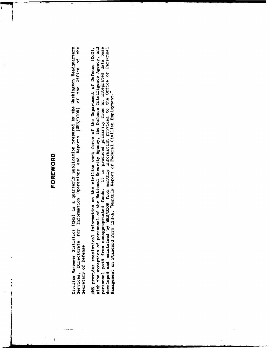#### FOREWORD

Civilian Manpower Statistics (CMS) is a quarterly publication prepared by the Washington Headquarters<br>Services, Directorate for Information Operations and Reports (WHS/DIOR) of the Office of the Secretary of Defense.

personnel paid from nonappropriated funds. It is produced primarily from an integrated data base<br>developed and maintained by WHS/DIOR from monthly information provided to the Office of Personnel<br>Management on Standard Form with the exception of personnel of the National Security Agency, the Defense Intelligence Agency, and CMS provides statistical information on the civilian work force of the Department of Defense (DoD),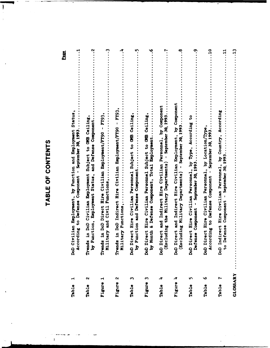### TABLE OF CONTENTS

I

| $\blacktriangleleft$<br>Table | Civilian Employment, by Function and Employment Status<br>September 30, 1993<br>cording to Defense Component<br>Don<br>Ac                                                                                                                                                                                                                                                                                                                                                                                                                                           |
|-------------------------------|---------------------------------------------------------------------------------------------------------------------------------------------------------------------------------------------------------------------------------------------------------------------------------------------------------------------------------------------------------------------------------------------------------------------------------------------------------------------------------------------------------------------------------------------------------------------|
| $\mathbf{\alpha}$<br>Table    | $\ddot{\mathbf{v}}$<br>Subject to OMB Ceiling<br>and Defense Component.<br>Function, Employment Status,<br>ds in DoD Civilian Employment<br><b>Trend</b><br>by                                                                                                                                                                                                                                                                                                                                                                                                      |
| Figure 1                      | ن<br><b>FY93</b><br>ds in DoD Direct Hire Civilian Employment/FY90<br>Military and Civil Functions,<br>Tren                                                                                                                                                                                                                                                                                                                                                                                                                                                         |
| Figure 2                      | ₹.<br>ds in DoD Indirect Hire Civilian Employment/FY90 - FY93<br>Trends in DoD Indirections,                                                                                                                                                                                                                                                                                                                                                                                                                                                                        |
| Table                         | ņ<br>Direct Hire Civilian Personnel Subject to OMB Ceiling,<br>Function and Defense Component.<br>ಗ<br>ಗ<br>ರಾ                                                                                                                                                                                                                                                                                                                                                                                                                                                      |
| Figure                        | ڢ<br>Direct Hire Civilian Personnel Subject to OMB Ceiling<br>& Defense Component, Total Employment<br>Month<br>ಣ<br>ದಿಂದ                                                                                                                                                                                                                                                                                                                                                                                                                                           |
| Table                         | Direct and Indirect Hire Civilian Personnel, by Component<br>September 30, 1993<br>$\overline{\phantom{0}}$<br>DoD Direct and Indirect Hire Civilian 1<br>(Excluding the Military Departments)                                                                                                                                                                                                                                                                                                                                                                      |
| Figure                        | <u>ဇ</u><br>DoD Direct and Indirect Hire Civilian Employment, by Component<br>(Excluding Military Departments) - September 30, 1993                                                                                                                                                                                                                                                                                                                                                                                                                                 |
| Table                         | ৽<br>Direct Hire Civilian Personnel, by Type, According to<br>September 30, 1993<br>Component<br>fense<br>ှု<br>၁<br>၁                                                                                                                                                                                                                                                                                                                                                                                                                                              |
| w<br>Table                    | $\frac{0}{1}$<br>Direct Hire Civilian Personnel, by Location/Type<br>September 30, 1993<br>cording to Defense Component<br>DoD<br>Ac                                                                                                                                                                                                                                                                                                                                                                                                                                |
| Table                         | $\mathbf{1}$<br>Indirect Hire Civilian Personnel, by Country, According<br>September 30, 1993<br>Component<br>Defense<br>ာ<br>၁<br>၁<br>၁<br>၁<br>၁<br>၁<br>၁<br>၁<br>၁<br>၁<br>၁<br>၁<br>5<br>1<br>1<br>\mbox{and} \mbox{and} \mbox{and} \mbox{and} \mbox{and} \mbox{and} \mbox{and} \mbox{and} \mbox{and} \mbox{and} \mbox{and} \mbox{and} \mbox{and} \mbox{and} \mbox{and} \mbox{and} \mbox{and} \mbox{and} \mbox{and} \mbox{and} \mbox{and} \mbox{and} \mbox{and} \mbox{and} \mbox{and} \mbox{and} \mbox{and} \mbox{and} \mbox{and} \mbox{and} \mbox{and} \mbox |
| GLOSSARY                      | $\ddot{c}$                                                                                                                                                                                                                                                                                                                                                                                                                                                                                                                                                          |

Page

 $\begin{array}{c} \rule{0pt}{2ex} \rule{0pt}{2ex} \rule{0pt}{2ex} \rule{0pt}{2ex} \rule{0pt}{2ex} \rule{0pt}{2ex} \rule{0pt}{2ex} \rule{0pt}{2ex} \rule{0pt}{2ex} \rule{0pt}{2ex} \rule{0pt}{2ex} \rule{0pt}{2ex} \rule{0pt}{2ex} \rule{0pt}{2ex} \rule{0pt}{2ex} \rule{0pt}{2ex} \rule{0pt}{2ex} \rule{0pt}{2ex} \rule{0pt}{2ex} \rule{0pt}{2ex} \rule{0pt}{2ex} \rule{0pt}{2ex} \rule{0pt}{2ex} \rule{0pt}{$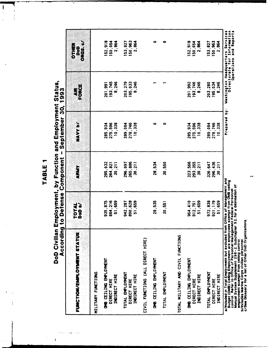÷

 $\ddot{\phantom{0}}$ 

 $\overline{\phantom{a}}$  $\frac{1}{2}$ 

# DoD Civilian Employment, by Function and Employment Status,<br>According to Defense Component - September 30. 1993

 $\mathbf{I}$ 

| カニコ うりノィ                                                                                                                                                                                                                 |                    | JIIDIIAAIISA BRIDIBA A. | ゞ<br><b>DAILBIAN</b> | つりりー             |                                                                                           |
|--------------------------------------------------------------------------------------------------------------------------------------------------------------------------------------------------------------------------|--------------------|-------------------------|----------------------|------------------|-------------------------------------------------------------------------------------------|
| FUNCTION/EMPLOTMENT STATUS                                                                                                                                                                                               | TOTAL<br>DoD a/    | <b>ARMY</b>             | NAVY b/              |                  | ORGSIO<br><b>DTHEF</b><br><b>Bod</b>                                                      |
| MILITARY FUNCTIONS                                                                                                                                                                                                       |                    |                         |                      |                  |                                                                                           |
| OMB CEILING EMPLOYMENT                                                                                                                                                                                                   | 935, 875           | 295,032                 | 285,934              | 201,991          | 152,918                                                                                   |
| INDIRECT HIRE<br>DIRECT HIRE                                                                                                                                                                                             | 884,216<br>51,659  | 264,821<br>30.211       | 275,596<br>10,338    | 193,745<br>8,246 | 150,054<br>2,864                                                                          |
| TOTAL EMPLOYMENT                                                                                                                                                                                                         | 942,287            | 296,097                 | 289,084              | 203,279          | 153,827                                                                                   |
| INDIRECT HIRE<br>DIRECT HIRE                                                                                                                                                                                             | 829, 628<br>51,659 | 265,886<br>30,211       | 278,746<br>10,338    | 8,246<br>195,033 | 150,963<br>2,864                                                                          |
| CIVIL FUNCTIONS (ALL DIRECT HIRE)                                                                                                                                                                                        |                    |                         |                      |                  |                                                                                           |
| OMB CEILING EMPLOYMENT                                                                                                                                                                                                   | 28,535             | 28,534                  | $\bullet$            |                  | $\bullet$                                                                                 |
| TOTAL EMPLOYMENT                                                                                                                                                                                                         | 30,551             | 30,550                  | 0                    |                  | 0                                                                                         |
| TOTAL MILITARY AND CIVIL FUNCTIONS                                                                                                                                                                                       |                    |                         |                      |                  |                                                                                           |
| OMB CEILING EMPLOYMENT                                                                                                                                                                                                   | 964,410            | 323,566                 | 285,934              | 201,992          | 152,918                                                                                   |
| DIRECT HIRE                                                                                                                                                                                                              | 912.751            | 293,355                 | 275,596              | 193,746          | 150,054                                                                                   |
| INDIRECT HIRE                                                                                                                                                                                                            | 51,659             | 30,211                  | 10,338               | 8,246            | 2,864                                                                                     |
| TOTAL EMPLOYMENT                                                                                                                                                                                                         | 972,838            | 326,647                 | 289,084              | 203.280          | 153,827                                                                                   |
| DIRECT HIRE                                                                                                                                                                                                              | 921, 179           | 296,436                 | 278.746              | 195,034          | 150,963                                                                                   |
| <b>INDIRECT HIRE</b>                                                                                                                                                                                                     | 51,659             | 30,211                  | 10,338               | 8,246            | 2,864                                                                                     |
| a/Included in Total Employment but excluded from Office of Management and<br>Budget (OMB) Ceiling Employment are employees exempt from OMB ceiling<br>control. Refer to Office of Personnel Management Federal Personnel |                    |                         | :<br>آه<br>Prepared  |                  | Washington Hearters Internetion<br>Directorate I Information<br>and Reports<br>Doerations |

Manual System Supplement 298–2, Subchapter 53, for a delineation of<br>employment exempt from celling control.<br>b/Includes Marine Corps civilian personnel.<br>c/See Glossary for a list of Other DoD Organizations.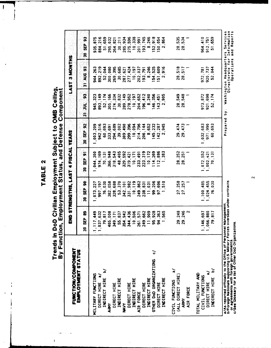$\begin{array}{c} \rule{0pt}{2.5ex} \rule{0pt}{2.5ex} \rule{0pt}{2.5ex} \rule{0pt}{2.5ex} \rule{0pt}{2.5ex} \rule{0pt}{2.5ex} \rule{0pt}{2.5ex} \rule{0pt}{2.5ex} \rule{0pt}{2.5ex} \rule{0pt}{2.5ex} \rule{0pt}{2.5ex} \rule{0pt}{2.5ex} \rule{0pt}{2.5ex} \rule{0pt}{2.5ex} \rule{0pt}{2.5ex} \rule{0pt}{2.5ex} \rule{0pt}{2.5ex} \rule{0pt}{2.5ex} \rule{0pt}{2.5ex} \rule{0$ 

ļ

# Trends in DoD Civilian Employment Subject to OMB Celling,<br>By Function, Employment Status, and Defense Component

 $\begin{array}{c} \hline \end{array}$ 

| FUNCTION/COMPONENT                                  |                     | 5年(以上、1) くりの1年 マーサリベコ 、坊上に切実出されめ 凸出 |                                    |                      |                          | 3 MONTHS<br>LAST                                         |                                         |
|-----------------------------------------------------|---------------------|-------------------------------------|------------------------------------|----------------------|--------------------------|----------------------------------------------------------|-----------------------------------------|
| EMPLOYMENT STATUS                                   | 8<br>5EP<br>55<br>g | $\boldsymbol{a}$<br><b>SEP</b><br>R | <b>SEP 91</b><br>g                 | <b>SEP 92</b><br>30  | S.<br>Ę<br>$\frac{1}{n}$ | 31 AUG 93                                                | <b>SEP 93</b><br>ន្ល                    |
| MILITARY FUNCTIONS                                  | 1, 117, 449         | 1,073,227                           | 005, 144.                          | 003, 209             | 945, 323                 | 944.263                                                  | 935,875                                 |
| DIRECT HIRE a/                                      | 037,632             | 997, 197                            | 974.169                            | 942,516              | 893,149                  | 892,219                                                  | 884,216                                 |
| <u>د</u><br>INDIRECT HIRE                           | 79,817              | 76,030                              | 70,131                             | 60,693               | 52, 174                  | 52,044                                                   | 51,659                                  |
| <b>ARKA</b>                                         | 405,008             | 382,058                             | 366,948                            | 333,691              | 305,166                  | 300,080                                                  | 295,032                                 |
| DIRECT HIRE                                         | 349, 171            | 328,688                             | 318,543                            | 294,689              | 274,334                  | 269,395                                                  | 264, 821                                |
| INDIRECT HIRE                                       | 55,837              | 53,370                              | 48,405                             | 39,002               | 30,832                   | 30,685                                                   | 30.211                                  |
| <b>SEN</b>                                          | 354,942             | 342, 101                            | 329,592                            | 309,490              | 289, 149                 | 287,621                                                  | 285,934                                 |
| DIRECT HIRE                                         | 436<br>344.         | 331,982                             | 319,421                            | 299,396              | 278,952                  | 277,424                                                  | 275,596                                 |
| INDIRECT HIRE                                       | 10,506              | 10.119                              | 10, 171                            | 10,094               | 10, 197                  | 10, 197                                                  | 10,338                                  |
| AIR FORCE                                           | 261,571             | 249, 862                            | 233, 491                           | 214,796              | 204,652                  | 202.037                                                  | 201.991                                 |
| DIRECT HIRE                                         | 249,662             | 238, 831                            | 223,319                            | 206, 144             | 196,412                  | 193,79                                                   | 193,745                                 |
| INDIRECT HIRE                                       | 11,909              | 11,031                              | 10, 172                            | 8,652                | 8,240                    | 8,246                                                    | 246<br>$\dot{\bullet}$                  |
| $\tilde{\bm{c}}$<br>OTHER DOD ORGANIZATIONS         | 928<br>ဖွ           | 99,206                              | 269<br>$\frac{4}{1}$               | 145,232              | 146,356                  | 154,525                                                  | 152,918                                 |
| DIRECT HIRE                                         | 94,363              | ,696<br>$\overline{5}$              | 886<br>$\frac{2}{1}$               | 142,287              | 143, 451                 | 151,609                                                  | 150,054                                 |
| INDIRECT HIRE                                       | 565                 | $-510$                              | 383                                | 945<br>$\ddot{\sim}$ | 2,905                    | $\frac{6}{9}$<br>$\mathbf{\sim}$                         | 864<br>្ដ                               |
| $\tilde{a}$<br>CIVIL FUNCTIONS                      |                     |                                     |                                    |                      |                          |                                                          |                                         |
| (ALL DIRECT HIRE)                                   | 29,248              | 27,258                              | 28,252                             | 29,474               | 28,549                   | 28, 518                                                  | 28,535                                  |
| <b>ARMY</b>                                         | ,246<br>29          | 27,257                              | 28, 251                            | 29,473               | 28,548                   | 28,517                                                   | ,534<br>$\frac{8}{2}$                   |
| AIR FORCE                                           | $\sim$              |                                     |                                    |                      |                          |                                                          |                                         |
| TOTAL MILITARY AND                                  |                     |                                     |                                    |                      |                          |                                                          |                                         |
| CIVIL FUNCTIONS                                     | 146,697             | 1,100,485                           | .072.552                           | ,032,683             | 973, 872                 | 972,781                                                  | 964,410                                 |
| $\tilde{a}$<br>DIRECT HIRE                          | 066.880             | .024.455                            | .002,421                           | 971,990              | 921,698                  | 920,737                                                  | 912,751                                 |
| $\geq$<br><b>INDIRECT HIRE</b>                      | 817<br><b>P</b>     | 030<br>76.                          | $\overline{131}$<br>$\overline{2}$ | 60,693               | 52, 174                  | 52.044                                                   | 659<br>5                                |
|                                                     |                     |                                     |                                    |                      |                          |                                                          |                                         |
| a/As reported officially to the Office of Personnel | Management          | overseas under contracts            |                                    | Prepared             | by :                     | Headquarters<br>Washington Headquarte<br>Directorate for | n<br>Service <sup>-</sup><br>Informatio |
|                                                     |                     |                                     |                                    |                      |                          | Operations                                               | <b>SA</b><br>and Report                 |

b/Foreign Nationals supporting U.S. Military Forces overseas under contracts<br>or agreements with foreign governments.<br>c/See Glossary for a list of Other DoD Organizations.

 $\overline{\mathbf{c}}$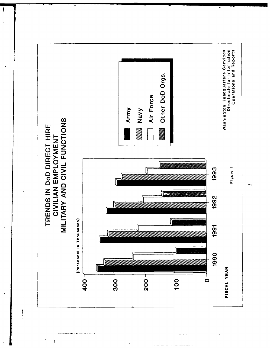

 $\mathbf{\i}$ 

 $\tilde{c}$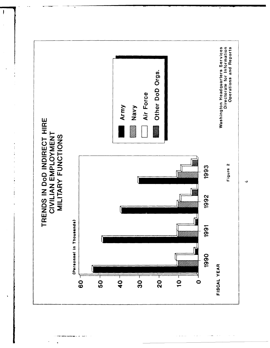

 $\begin{array}{c} \rule{0pt}{2ex} \rule{0pt}{2ex} \rule{0pt}{2ex} \rule{0pt}{2ex} \rule{0pt}{2ex} \rule{0pt}{2ex} \rule{0pt}{2ex} \rule{0pt}{2ex} \rule{0pt}{2ex} \rule{0pt}{2ex} \rule{0pt}{2ex} \rule{0pt}{2ex} \rule{0pt}{2ex} \rule{0pt}{2ex} \rule{0pt}{2ex} \rule{0pt}{2ex} \rule{0pt}{2ex} \rule{0pt}{2ex} \rule{0pt}{2ex} \rule{0pt}{2ex} \rule{0pt}{2ex} \rule{0pt}{2ex} \rule{0pt}{2ex} \rule{0pt}{$ 

 $\frac{1}{2}$  $\frac{1}{4}$ 

 $\frac{1}{1}$ 

 $\frac{1}{1}$ 

 $\ddot{ }$ 

 $\mathcal{A}=\mathcal{A}\mathcal{A}=\mathcal{A}$ 

 $\alpha = \alpha_1 + \beta_2$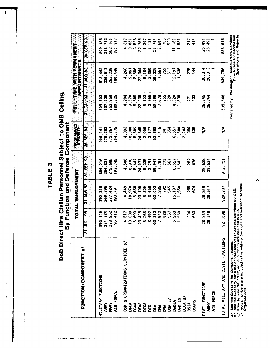$\sqrt{2}$ 

Ä

## DoD Direct Hire Civilian Personnel Subject to OMB Celling,<br>By Function and Defense Component

|                                                                                                                           |                         | TOTAL EMPLOYMENT               |                           | <b>PROGRAMMED</b><br>STRENGTH |                   | FULL-TIME WITH PERMANENT<br><b>APPOINTMENTS</b> |                                                                                                       |
|---------------------------------------------------------------------------------------------------------------------------|-------------------------|--------------------------------|---------------------------|-------------------------------|-------------------|-------------------------------------------------|-------------------------------------------------------------------------------------------------------|
| FUNCTION/COMPONENT a/                                                                                                     | to.<br>ヺ<br>$ \vec{r} $ | <b>AUG 93</b><br>$\frac{1}{3}$ | 3<br>$\frac{a}{35}$<br>30 | 30 SEP 93                     | <b>85 JNT 12</b>  | 31 AUG 93                                       | SEP <sub>93</sub><br>æ                                                                                |
| <b>FUNCTIONS</b><br>MILLITARY                                                                                             | $-149$<br>အိ            | 892,219                        | 884,216                   | 900, 141                      | 1,303<br><u>ခ</u> | 813,442                                         | 809, 155                                                                                              |
| ARMY                                                                                                                      | 274,334                 | 269,395                        | 264, 821                  | 279,382                       | 237,939           | 236,518                                         | 235,753                                                                                               |
| MAVY                                                                                                                      | 278,952                 | 277.424                        | 275,596                   | 272,867                       | 263,969           | 263,239                                         | 262,160                                                                                               |
| AIR FORCE                                                                                                                 | 196.412                 | 193,791                        | 193,745                   | 204.775                       | 180,725           | 180,449                                         | 180,347                                                                                               |
| OSD & ORGANIZATIONS SERVICED b/                                                                                           | 4.517                   | 4,449                          | 4,500                     | 4,393                         | 4,284             | 4,268                                           | 4.317                                                                                                 |
| న్హ                                                                                                                       | 9,030                   | 978<br>$\frac{1}{2}$           | 18,978                    | 18,340                        | 9,870             | 9,851                                           | 9,851                                                                                                 |
| S                                                                                                                         | 5,693                   | 5,668                          | 5,647                     | 5,589                         | 5,585             | 5,556                                           | 3,535                                                                                                 |
| DFAS                                                                                                                      | 23,405                  | 23,795                         | 24,077                    | 24,848                        | 22,038            | 22,344                                          | 22,766                                                                                                |
| DISA                                                                                                                      | 5,266                   | 5,320                          | 5.335                     | 2,906                         | 5,103             | 5,154                                           | 5,207                                                                                                 |
| <b>DIS</b>                                                                                                                | 3,492                   | 3,468                          | 3,291                     | 3,177                         | 3,366             | 3,350                                           | 3,181                                                                                                 |
| ð                                                                                                                         | 63,213                  | 62,003                         | 59,947                    | 52,885                        | 60,398            | 328<br>ၵ္တ                                      | 57.744                                                                                                |
| £                                                                                                                         | \$942<br>$\overline{ }$ | 885<br>$\overline{ }$          | .781<br>N                 | ,415<br>$\blacksquare$        | 679<br>r          | 1,661<br>$\blacksquare$                         | 604<br>N                                                                                              |
| ≸                                                                                                                         | 828                     | 792                            | 773                       | $\overline{3}$                | 765               | 759                                             | 755                                                                                                   |
| DSA c/                                                                                                                    | 557                     | 545                            | 567                       | 554                           | 520               | <u>ო</u><br>5                                   | 533                                                                                                   |
| DoDEA                                                                                                                     | 963<br>ဖ                | 197<br><u>َم</u>               | 16,657                    | $-65$<br>6                    | 820<br>ෑ          | 12,197                                          | .150                                                                                                  |
| DoD IG                                                                                                                    | 558                     | 550                            | 543                       | 1,580                         | 538<br>-          | <b>.536</b>                                     | 531                                                                                                   |
| DICA d/                                                                                                                   |                         |                                |                           | 2,743                         |                   |                                                 |                                                                                                       |
| <b>DSIA</b>                                                                                                               | 304                     | 285                            | 282                       | 360                           | 271               | 275                                             | 277                                                                                                   |
| <b>USUHS</b>                                                                                                              | 683                     | 674                            | 676                       | 835                           | 433               | 444                                             | 444                                                                                                   |
| CIVIL FUNCTIONS                                                                                                           | 28,549                  | 28,518                         | 28,535                    | $\leq$                        | 26,345            | 26,314                                          | 26,491                                                                                                |
| <b>ARMY</b>                                                                                                               | 28,548                  | 28,517                         | 534<br><u>ფ</u>           |                               | 26,344            | 26,313                                          | 26,490                                                                                                |
| AIR FORCE                                                                                                                 |                         |                                |                           |                               |                   |                                                 |                                                                                                       |
| TOTAL MILITARY AND CIVIL FUNCTIONS                                                                                        | ,698<br>$\overline{2}$  | 920,737                        | 912,751                   | $\sum_{i=1}^{n}$              | 835, 648          | 839.756                                         | 835,646                                                                                               |
| / See the Glossary for Component names.<br>V See the Glossary for a list of OSD and Organizations Serviced by OSD.<br>á à |                         |                                |                           |                               |                   |                                                 | Directorate for information<br>Prepared by: Washington Headquarters Services<br>Operations and Benort |

c/ Prior to June 30, 1992, actual numbers are included in DLA.<br>d/ Actual numbers are included in the Military Services and selected Defense<br>Organizations.

 $\mathbf{r}$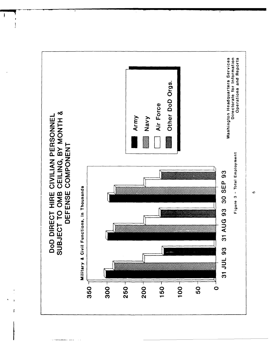

ł

 $\bullet$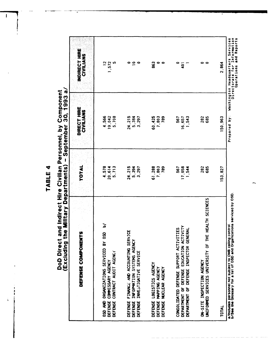ţ

# DoD Direct and Indirect Hire Civilian Personnel, by Component<br>(Excluding the Military Departments) - September 30, 1993 a/

| <b>SEFERICATORSE CONSERVATION</b>                                                                                                           | TOTAL                    | DIRECT HIRE<br>CIVILIANS  | <b>INDIRECT HIRE</b><br>CIVILIANS                                                                            |
|---------------------------------------------------------------------------------------------------------------------------------------------|--------------------------|---------------------------|--------------------------------------------------------------------------------------------------------------|
| ১<br>OSD AND ORGANIZATIONS SERVICED BY OSD<br>CONTRACT AUDIT AGENCY<br>DEFENSE COMMISSARY AGENCY<br>DEFENSE                                 | 4.578<br>20.614<br>5,713 | 4,566<br>19,042<br>5,708  | $12$<br>572<br>ဖာ                                                                                            |
| FINANCE AND ACCOUNTING SERVICE<br>INFORMATION SYSTEMS AGENCY<br>INVESTIGATIVE SERVICE<br><b>DEFENSE</b><br><b>DEFENSE</b><br><b>DEFENSE</b> | 24,215<br>5,394<br>3,297 | 24, 215<br>5,384<br>3.297 | ၀ ၀ ၀                                                                                                        |
| DEFENSE LOGISTICS AGENCY<br>DEFENSE MAPPING AGENCY<br>NUCLEAR AGENCY<br>DEFENSE                                                             | 61,288<br>7,803<br>789   | 60,425<br>7,803<br>789    | 863<br>0<br>$\bullet$                                                                                        |
| CONSOLIDATED DEFENSE SUPPORT ACTIVITIES<br>DEPARTMENT OF DEFENSE EDUCATION ACTIVITY<br>DEPARTMENT OF DEFENSE INSPECTOR GENERAL              | ,058<br>567<br>544<br>Ē  | 567<br>16,657<br>543      | $\overline{a}$                                                                                               |
| UNIFORMED SERVICES UNIVERSITY OF THE HEALTH SCIENCES<br>ON-SITE INSPECTION AGENCY                                                           | <b>282</b><br>685        | 282<br>685                | 。                                                                                                            |
| TOTAL                                                                                                                                       | 53,827                   | 50,963                    | 2,864                                                                                                        |
| a/Includes personnel not subject to OMB celling control.<br>D/See the Glossary for a list of OSD and Organizations serviced by OSD.         |                          | $\cdot$<br>à<br>Prepared  | ormation<br><b>Service</b><br>Report<br>and<br>a<br>Operations<br>Headquart<br>$\bullet$<br>Washington Headq |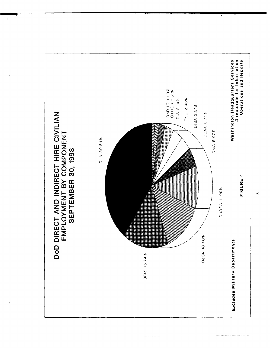

 $\infty$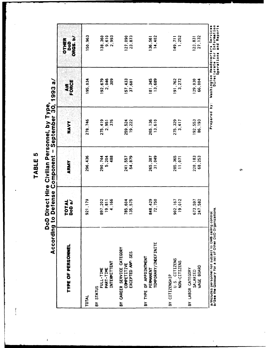$\cdot$ 

DoD Direct Hire Civilian Personnel, by Type,<br>According to Defense Component - September 30, 1993 a/

 $\mathbf{I}$ 

| アニフ うりり                                                                                                               | <b>THRAINS PAIRTNAMENT</b> |                         | JONES 12 DAY            | こり こうりつ                                       |                                                      |
|-----------------------------------------------------------------------------------------------------------------------|----------------------------|-------------------------|-------------------------|-----------------------------------------------|------------------------------------------------------|
| TYPE OF PERSONNEL                                                                                                     | TOTAL<br>DoD a/            | <b>ARMY</b>             | NAVY                    | AIR<br>FORCE                                  | ORGS.ID<br>OTHER<br>DoD                              |
| TOTAL                                                                                                                 | 921, 179                   | 296,436                 | 278.746                 | 195.034                                       | 150,963                                              |
| INTERMITTENT<br>FULL-TIME<br>PART-TIME<br>BY STATUS                                                                   | 897,202<br>19 811<br>4 166 | 290,744<br>5.204<br>488 | 275,419<br>2,951<br>376 | 192,679<br>2,046<br>309                       | 138,360<br>9,610                                     |
| BY CAREER SERVICE CATEGORY<br>EXCEPTED AND SES<br>COMPETITIVE                                                         | 785.604<br>135,575         | 241,557<br>54,879       | 259,524<br>19.222       | 157,433<br>37,601                             | 127,090<br>23,873                                    |
| TEMPORARY/INDEFINITE<br>BY TYPE OF APPOINTMENT<br>PERMANENT                                                           | 848,429<br>72,750          | 265,387<br>31,049       | 265,136<br>13,610       | 13,689<br>181,345                             | 136,561<br>14,402                                    |
| U.S. CITIZENS<br>NON-CITIZENS<br>BY CITIZENSHIP                                                                       | 902.167<br>19,012          | 285,365<br>11,071       | 275, 329<br>3,417       | 191,762<br>3,272                              | 1,252<br>149,711                                     |
| WAGE BOARD<br>BY LABOR CATEGORY<br>SALARIED                                                                           | 673.597<br>247,582         | 228, 183<br>68,253      | 192, 553<br>86,193      | 66,004<br>129,030                             | 27, 132<br>123,831                                   |
| a/Includes personnel not subject to OMB ceiling control.<br>b/See the Glossary for a list of Other DoD Organizations. |                            |                         | Prepared by:            | Washington Headquarters<br>Directorate for In | Information<br>and Reports<br>Services<br>Operations |

 $\sigma$ 

Τ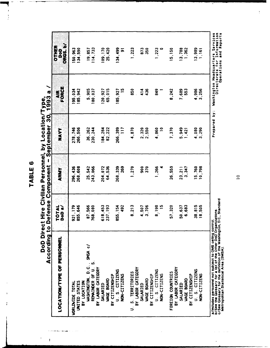÷

 $\frac{1}{2}$ 

DoD Direct Hire Civilian Personnel, by Location/Type,<br>According to Defense Component – September 30, 1993 a /

ing sangan

 $\ddot{\phantom{1}}$ 

 $\mathbf{I}$ 

| アミフ うりょく                                                                                                                             | リクニリーリン<br>$\overline{\phantom{a}}$ | instinsting) | ゞ゚゚<br>こりコニツニュリク         | / すっかり                                  |                                          |
|--------------------------------------------------------------------------------------------------------------------------------------|-------------------------------------|--------------|--------------------------|-----------------------------------------|------------------------------------------|
| LOCATION/TYPE OF PERSONNEL                                                                                                           | TOTAL<br>DoD a/                     | ARMY         | NAVY                     | FORCE<br>4IR                            | ORGS. b/<br>OTHER<br>e<br>S              |
| <b>WORLDWIDE TOTAL</b>                                                                                                               | 921, 179                            | 296,436      | 278.746                  | 195,034                                 | 150,963                                  |
| UNITED STATES                                                                                                                        | 855,646                             | 268,608      | 266,506                  | 185,942                                 | 134,590                                  |
| BY LOCATION                                                                                                                          | 87,566                              | 25,542       | 36,262                   | 5,905                                   | 19,857                                   |
| WASHINGTON, D.C., SMSA C/<br>REMAINDER OF U.S.                                                                                       | 768,080                             | 243,066      | 230.244                  | 180,037                                 | 114,733                                  |
| BY LABOR CATEGORY                                                                                                                    |                                     |              |                          |                                         |                                          |
| SALARIED                                                                                                                             | 618,453                             | 204.072      | 184.284                  | 120,927                                 | 109,170                                  |
| <b>WAGE BOARD</b>                                                                                                                    | 237, 193                            | 64,536       | 82,222                   | 65,015                                  | 25,420                                   |
| U.S. CITIZENS<br>BY CITIZENSHIP                                                                                                      | 855, 154                            | 268,339      | 266.389                  | 185,927                                 | 134,499                                  |
| NON-CITIZENS                                                                                                                         | 492                                 | 269          | $\overline{11}$          | $\overline{5}$                          | ត                                        |
|                                                                                                                                      | 8,213                               | 1,270        | 4,870                    | 850                                     | 1,223                                    |
| U S. TERRITORIES<br>BY LABOR CATEGORY                                                                                                |                                     |              |                          |                                         |                                          |
| SALARIED                                                                                                                             | 4.507                               | 900          | 2,320                    | $\frac{4}{14}$                          | 873                                      |
| WAGE BOARD                                                                                                                           | 3.706                               | 370          | 2.550                    | 436                                     | 350                                      |
| BY CITIZENSHIP                                                                                                                       |                                     |              |                          |                                         |                                          |
| U.S. CITIZENS                                                                                                                        | 8.198                               | 1,266        | 4,860                    | 849                                     | 1,223                                    |
| NON-CITIZENS                                                                                                                         | $\overline{5}$                      |              | $\overline{\phantom{a}}$ |                                         |                                          |
| FOREIGN COUNTRIES                                                                                                                    | 57,320                              | 26,559       | 7,370                    | 8,242                                   | 15, 150                                  |
| BY LABOR CATEGORY                                                                                                                    |                                     |              |                          |                                         |                                          |
| <b>SALARIED</b>                                                                                                                      | 50,637                              | 23, 211      | 5,949                    | 7,689                                   | 13,788                                   |
| <b>WAGE BOARD</b>                                                                                                                    | 6,683                               | 3,347        | 1,421                    | 553                                     | 1,362                                    |
| BY CITIZENSHIP                                                                                                                       |                                     |              |                          |                                         |                                          |
| U.S. CITIZENS                                                                                                                        | 38,815                              | 15,760       | 4,080                    | 4,986                                   | 13,989                                   |
| NON-CITIZENS                                                                                                                         | 18,505                              | 10,798       | 3,290                    | 3,256                                   | 1,161                                    |
|                                                                                                                                      |                                     |              |                          |                                         |                                          |
| a/Includes personnel not subject to OMB ceiling control                                                                              |                                     |              | .<br>د<br>Prepared       | Washington Headquart<br>Directorate for | Services<br>Headquarters                 |
| b/See the Glossary for a list of the Other DoD Organizations.<br>c/See Glossary for the definition of the Washington, D.C., Standard |                                     |              |                          |                                         | Information<br>and Reports<br>Operations |
| Chan Cantictional Area (CMCA)                                                                                                        |                                     |              |                          |                                         |                                          |

b/See the Glossary for a list of the Other DoD Organizations.<br>c/See Glossary for the definition of the Washington, D.C., Standard<br>Metropolitan Statistical Area (SMSA).

 $\overline{a}$ 

 $\frac{1}{2}$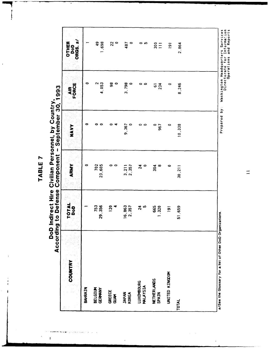l,

## DoD Indirect Hire Civilian Personnel, by Country,<br>According to Defense Component - September 30, 1993

 $\mathbf{I}$ 

| COUNTRY                                                   | TOTAL<br>DoD    | ARMY                  | NAVY               | AIR<br>FORCE                | ORGS. <sub>a</sub><br>OTHER<br>DoD |
|-----------------------------------------------------------|-----------------|-----------------------|--------------------|-----------------------------|------------------------------------|
| BAHRAIN                                                   |                 | 0                     | 0                  | 0                           |                                    |
| <b>BELGIUM</b><br>GERMANY                                 | 753<br>29.356   | 702<br>23,605         | 00                 | 4.053                       | 49<br>49<br>1,698                  |
| GREECE<br>GUAM                                            | <b>120</b><br>4 | 。。                    | 0<br>₹             | $\frac{8}{6}$               | $\frac{2}{3}$                      |
| <b>JAPAN</b><br><b>KOREA</b>                              | 16,863<br>2,357 | $\frac{3}{2}$ , 357   | 9,367<br>$\bullet$ | 3,798<br>$\bullet$          | 487<br>$\circ$                     |
| <b>LUXEMBOURG</b><br>MALAYSIA                             | $\frac{4}{2}$ b | $\boldsymbol{z}$<br>0 | 0 0                | 。。                          | ດ ໜ                                |
| NETHERLANDS<br>SPAIN                                      | 665<br>1,320    | 304<br>œ              | 0<br>967           | 234<br>$\overline{\bullet}$ | $rac{1}{25}$                       |
| UNITED KINGDOM                                            | $\overline{9}$  | $\bullet$             | $\circ$            | $\bullet$                   | $\overline{181}$                   |
| <b>TOTAL</b>                                              | 51,659          | 30,211                | 10,338             | 8,246                       | 2.864                              |
|                                                           |                 |                       |                    |                             |                                    |
| a/See the Glossary for a list of Other DoD Organizations. |                 |                       | Prepared by:       | Washington Headquarters     | Services                           |

Washington Headquarters Services<br>Directorate for Information<br>Operations and Reports

 $\equiv$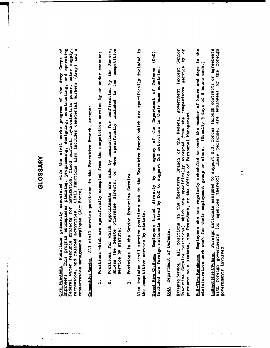#### GLOSSARY

Federal water resource projects for navigation, flood control, hydroelectric power, water supply, Civil functions also includes cemeterial workers (Army) and a This program encompasses planning, programming, designing, constructing, and operating Functions primarily associated with the civil works program of the Army Corps of conservation management employee (Air Force). recreation, and related activities. Civil Functions Engineers.

Competitive Service. All civil service positions in the Executive Branch, except:

- Positions which are specifically exempted from the competitive service by or under statute;  $\mathbf{a}$
- the Senate, competitive the Positions for which appointments are made by nomination for confirmation by included in unless the Senate otherwise directs, or when specifically service by statute;  $\dot{\mathbf{v}}$
- Positions in the Senior Executive Service.  $\dot{r}$

Also includes civil service positions not in the Executive Branch which are specifically included in the competitive service by statute.

 $\dot{\widehat{\mathsf{B}}}$  . Employees hired directly by an agency of the Department of Defense Included are foreign nationals hired by DoD to support DoD activities in their home countries. Direct Hire Civilians.

### DoD. Department of Defense.

ä Senior kq Executive Service positions) which are specifically excepted from the competitive service All positions in the Executive Branch of the Federal government (except pursuant to a statute, the President, or the Office of Personnel Management. **Excepted Service.** 

the Employees who are regularly scheduled to work the number of hours and days in administrative work week for their employment group or class. (Usually 5 days of 8 hours each.) Full-Time Employees.

These personnel are employees of the foreign indirect Hire Civilians. Foreign nationals assigned to support U.S. forces through contracts or agreements with foreign governments (or agencies thereof). governments involved.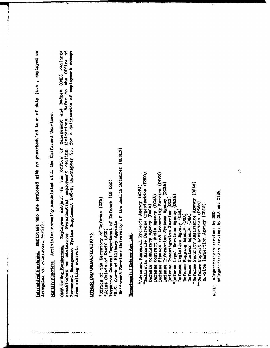Intermittent Employees. Employees who are employed with no prescheduled tour of duty (i.e., employed on irregular or occasional basis).

Miliary Functions. Activities normally associated with the Uniformed Services.

Employees subject to the Office of Management and Budget (OMB) ceilings established to administer Presidential employment ceiling limitations. Refer to the Office of Personnel Management System Supplement 298-2, Subchapter 53, for a delineation of employment exempt OMB Ceiling Employment, from ceiling control.

### **OTHER DOD ORGANIZATIONS**

Uniformed Services University of the Health Sciences (USUHS) Inspector General Department of Defense (IG DoD) "Office of the Secretary of Defense (OSD) "U.S. Court of Military Appeals "Joint Chiefs of Staff (JCS)

#### Department of Defense Agencies:

'Ballistic Missile Defense Organization (EMDO) Defense Finance and Accounting Service (DFAS) "Defense Security Assistance Agency (DSAA) Defense Information Systems Agency (DISA) "Advanced Research Projects Agency (ARPA) Defense Contract Audit Agency (DCAA) "Defense Legal Services Agency (DLSA) Defense Investigative Service (DIS) "Defense Support Activities (DSAs) Defense Commissary Agency (DeCA) On-Site Inspection Agency (OSIA) Defense Logistics Agency (DLA) Defense Mapping Agency (DMA) Defense Nuclear Agency (DNA)

 $\overline{14}$ 

axOrganizations serviced by DLA and DISA.

#Organizations serviced by OSD

NOTE: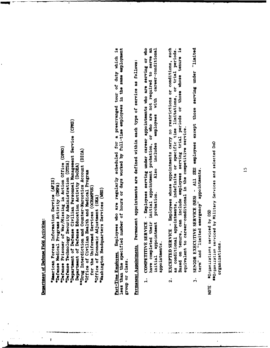### Department of Defense Field Activities:

"Department of Defense Civilian Personnel Management Service (CPMS) "Defense Prisoner of War/Missing in Action Office (DPMO) "Drug Interdiction and Counter-Marcotics Account (DICA) "Defense Technology Security Administration (DTSA) Department of Defense Education Activity (DoDEA) \*Office of Civilian Health and Medical Program American Forces Information Service (AFIS) "Defense Medical Programs Activity (DMPA) for the Uniformed Services (OCHAMPUS) "Office of Economic Adjustment (OEA) Part-Time Employees. Employees who are regularly scheduled for a prearranged tour of duty which is less than the specified number of hours or days worked by full-time employees in the same employment group or class.

Washington Headquarters Services (WHS)

Permanent Appointments. Permanent appointments are defined within each type of service as follows:

- Employees serving under career appointments who are serving or who initial appointment probation, or who are not required to serve an career-conditional employees with includes Also probation. have completed their COMPETITIVE SERVICE appointment appointments. initial  $\mathbf{a}$
- EXCEPTED SERVICE Employees whose appointments carry no restrictions or conditions, such Based on tenure, can include employees serving trial periods or those whose tenure is as conditional appointments, indefinite or specific time limitations, or trial periods. equivalent to career-conditional in the competitive service.  $\ddot{\mathbf{v}}$
- SENIOR EXECUTIVE SERVICE (SES) All SES employees except those serving under "limited term" and "limited emergency" appointments.  $\dot{5}$

wwanization serviced by Military Services and selected DoD #Organizations serviced by OSD organizations. NOTE